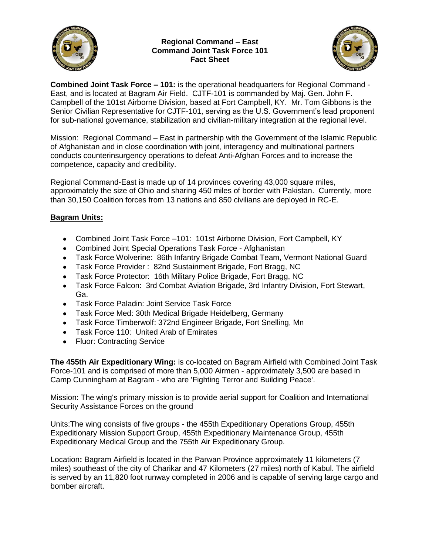

## **Regional Command – East Command Joint Task Force 101 Fact Sheet**



**Combined Joint Task Force – 101:** is the operational headquarters for Regional Command - East, and is located at Bagram Air Field. CJTF-101 is commanded by Maj. Gen. John F. Campbell of the 101st Airborne Division, based at Fort Campbell, KY. Mr. Tom Gibbons is the Senior Civilian Representative for CJTF-101, serving as the U.S. Government's lead proponent for sub-national governance, stabilization and civilian-military integration at the regional level.

Mission: Regional Command – East in partnership with the Government of the Islamic Republic of Afghanistan and in close coordination with joint, interagency and multinational partners conducts counterinsurgency operations to defeat Anti-Afghan Forces and to increase the competence, capacity and credibility.

Regional Command-East is made up of 14 provinces covering 43,000 square miles, approximately the size of Ohio and sharing 450 miles of border with Pakistan. Currently, more than 30,150 Coalition forces from 13 nations and 850 civilians are deployed in RC-E.

## **Bagram Units:**

- Combined Joint Task Force -101: 101st Airborne Division, Fort Campbell, KY
- Combined Joint Special Operations Task Force Afghanistan
- Task Force Wolverine: 86th Infantry Brigade Combat Team, Vermont National Guard
- Task Force Provider : 82nd Sustainment Brigade, Fort Bragg, NC
- Task Force Protector: 16th Military Police Brigade, Fort Bragg, NC
- Task Force Falcon: 3rd Combat Aviation Brigade, 3rd Infantry Division, Fort Stewart,  $\bullet$ Ga.
- Task Force Paladin: Joint Service Task Force
- Task Force Med: 30th Medical Brigade Heidelberg, Germany
- Task Force Timberwolf: 372nd Engineer Brigade, Fort Snelling, Mn  $\bullet$
- Task Force 110: United Arab of Emirates
- Fluor: Contracting Service

**The 455th Air Expeditionary Wing:** is co-located on Bagram Airfield with Combined Joint Task Force-101 and is comprised of more than 5,000 Airmen - approximately 3,500 are based in Camp Cunningham at Bagram - who are 'Fighting Terror and Building Peace'.

Mission: The wing's primary mission is to provide aerial support for Coalition and International Security Assistance Forces on the ground

Units:The wing consists of five groups - the 455th Expeditionary Operations Group, 455th Expeditionary Mission Support Group, 455th Expeditionary Maintenance Group, 455th Expeditionary Medical Group and the 755th Air Expeditionary Group.

Location**:** Bagram Airfield is located in the Parwan Province approximately 11 kilometers (7 miles) southeast of the city of Charikar and 47 Kilometers (27 miles) north of Kabul. The airfield is served by an 11,820 foot runway completed in 2006 and is capable of serving large cargo and bomber aircraft.